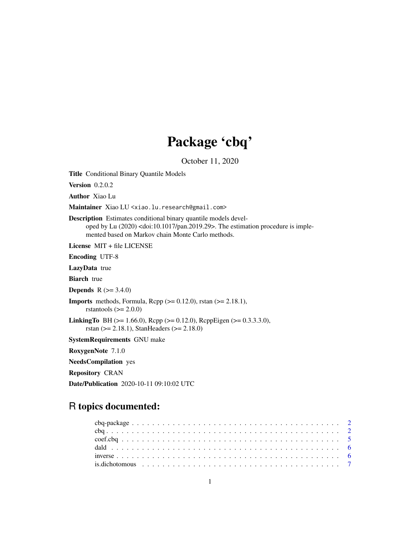# Package 'cbq'

October 11, 2020

<span id="page-0-0"></span>Title Conditional Binary Quantile Models

**Version** 0.2.0.2

Author Xiao Lu

Maintainer Xiao LU <xiao.lu.research@gmail.com>

Description Estimates conditional binary quantile models developed by Lu (2020) <doi:10.1017/pan.2019.29>. The estimation procedure is implemented based on Markov chain Monte Carlo methods.

License MIT + file LICENSE

Encoding UTF-8

LazyData true

**Biarch** true

**Depends** R  $(>= 3.4.0)$ 

**Imports** methods, Formula, Rcpp  $(>= 0.12.0)$ , rstan  $(>= 2.18.1)$ , rstantools  $(>= 2.0.0)$ 

**LinkingTo** BH ( $>= 1.66.0$ ), Rcpp ( $>= 0.12.0$ ), RcppEigen ( $>= 0.3.3.3.0$ ), rstan (>= 2.18.1), StanHeaders (>= 2.18.0)

SystemRequirements GNU make

RoxygenNote 7.1.0

NeedsCompilation yes

Repository CRAN

Date/Publication 2020-10-11 09:10:02 UTC

# R topics documented: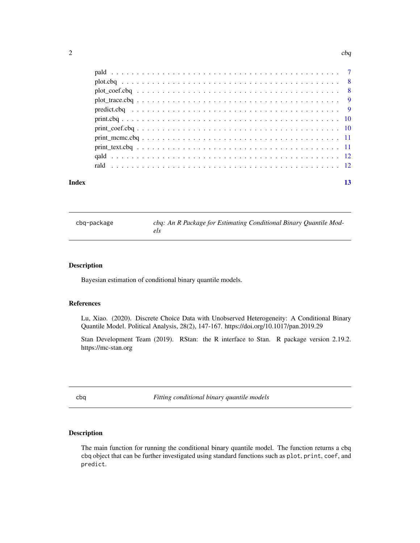<span id="page-1-0"></span>

| Index | 13 |
|-------|----|

cbq-package *cbq: An R Package for Estimating Conditional Binary Quantile Models*

#### Description

Bayesian estimation of conditional binary quantile models.

#### References

Lu, Xiao. (2020). Discrete Choice Data with Unobserved Heterogeneity: A Conditional Binary Quantile Model. Political Analysis, 28(2), 147-167. https://doi.org/10.1017/pan.2019.29

Stan Development Team (2019). RStan: the R interface to Stan. R package version 2.19.2. https://mc-stan.org

cbq *Fitting conditional binary quantile models*

### Description

The main function for running the conditional binary quantile model. The function returns a cbq cbq object that can be further investigated using standard functions such as plot, print, coef, and predict.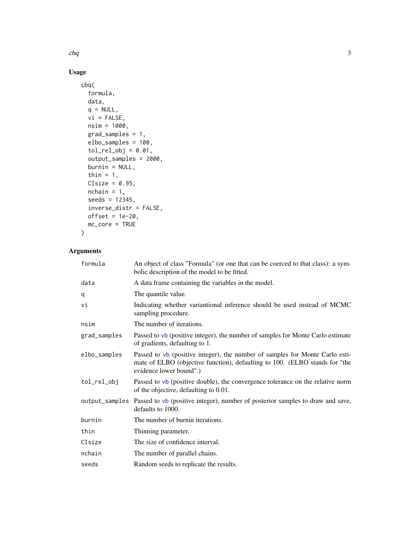# <span id="page-2-0"></span>Usage

```
cbq(
  formula,
  data,
  q = NULL,vi = FALSE,nsim = 1000,
  grad_samples = 1,
  elbo_samples = 100,
  tol_{rel\_obj} = 0.01,output_samples = 2000,
  burnin = NULL,
  thin = 1,
  CIsize = 0.95,
  nchain = 1,seeds = 12345,
  inverse_distr = FALSE,
  offset = 1e-20,mc_core = TRUE
\mathcal{L}
```
# Arguments

| formula        | An object of class "Formula" (or one that can be coerced to that class): a sym-<br>bolic description of the model to be fitted.                                                        |
|----------------|----------------------------------------------------------------------------------------------------------------------------------------------------------------------------------------|
| data           | A data frame containing the variables in the model.                                                                                                                                    |
| q              | The quantile value.                                                                                                                                                                    |
| vi             | Indicating whether variantional inference should be used instead of MCMC<br>sampling procedure.                                                                                        |
| nsim           | The number of iterations.                                                                                                                                                              |
| grad_samples   | Passed to vb (positive integer), the number of samples for Monte Carlo estimate<br>of gradients, defaulting to 1.                                                                      |
| elbo_samples   | Passed to vb (positive integer), the number of samples for Monte Carlo esti-<br>mate of ELBO (objective function), defaulting to 100. (ELBO stands for "the<br>evidence lower bound".) |
| tol_rel_obj    | Passed to $vb$ (positive double), the convergence tolerance on the relative norm<br>of the objective, defaulting to 0.01.                                                              |
| output_samples | Passed to vb (positive integer), number of posterior samples to draw and save,<br>defaults to 1000.                                                                                    |
| burnin         | The number of burnin iterations.                                                                                                                                                       |
| thin           | Thinning parameter.                                                                                                                                                                    |
| CIsize         | The size of confidence interval.                                                                                                                                                       |
| nchain         | The number of parallel chains.                                                                                                                                                         |
| seeds          | Random seeds to replicate the results.                                                                                                                                                 |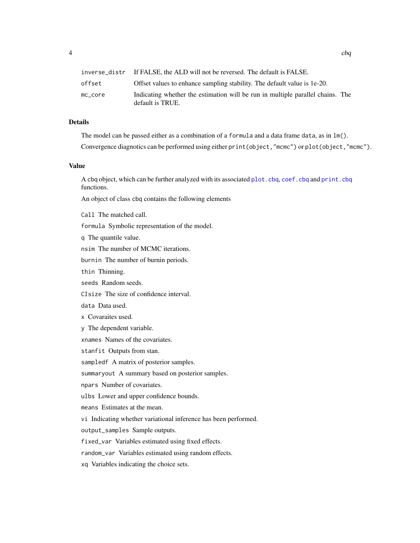<span id="page-3-0"></span>

|         | inverse_distr If FALSE, the ALD will not be reversed. The default is FALSE.                        |  |
|---------|----------------------------------------------------------------------------------------------------|--|
| offset  | Offset values to enhance sampling stability. The default value is 1e-20.                           |  |
| mc core | Indicating whether the estimation will be run in multiple parallel chains. The<br>default is TRUE. |  |

#### Details

The model can be passed either as a combination of a formula and a data frame data, as in lm().

Convergence diagnotics can be performed using either print(object,"mcmc") or plot(object,"mcmc").

#### Value

A cbq object, which can be further analyzed with its associated [plot.cbq](#page-7-1), [coef.cbq](#page-4-1) and [print.cbq](#page-9-1) functions.

An object of class cbq contains the following elements

Call The matched call.

formula Symbolic representation of the model.

q The quantile value.

nsim The number of MCMC iterations.

burnin The number of burnin periods.

thin Thinning.

seeds Random seeds.

CIsize The size of confidence interval.

data Data used.

x Covaraites used.

y The dependent variable.

xnames Names of the covariates.

stanfit Outputs from stan.

sampledf A matrix of posterior samples.

summaryout A summary based on posterior samples.

npars Number of covariates.

ulbs Lower and upper confidence bounds.

means Estimates at the mean.

vi Indicating whether variational inference has been performed.

output\_samples Sample outputs.

fixed\_var Variables estimated using fixed effects.

random\_var Variables estimated using random effects.

xq Variables indicating the choice sets.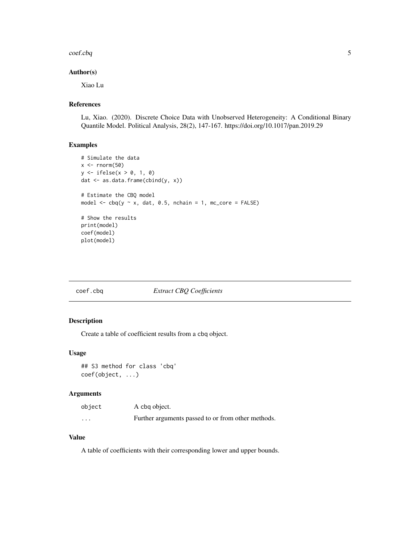#### <span id="page-4-0"></span> $\text{coeff.}$ coef.cbq  $\sim$  5

#### Author(s)

Xiao Lu

### References

Lu, Xiao. (2020). Discrete Choice Data with Unobserved Heterogeneity: A Conditional Binary Quantile Model. Political Analysis, 28(2), 147-167. https://doi.org/10.1017/pan.2019.29

#### Examples

```
# Simulate the data
x \le - rnorm(50)
y <- ifelse(x > 0, 1, 0)
dat <- as.data.frame(cbind(y, x))
# Estimate the CBQ model
model \leq cbq(y \sim x, dat, 0.5, nchain = 1, mc_core = FALSE)
# Show the results
print(model)
coef(model)
plot(model)
```
<span id="page-4-1"></span>

| coef.cbg |  |
|----------|--|
|          |  |

# q **Extract CBQ Coefficients**

#### Description

Create a table of coefficient results from a cbq object.

#### Usage

```
## S3 method for class 'cbq'
coef(object, ...)
```
#### Arguments

| object | A cbg object.                                      |
|--------|----------------------------------------------------|
| .      | Further arguments passed to or from other methods. |

#### Value

A table of coefficients with their corresponding lower and upper bounds.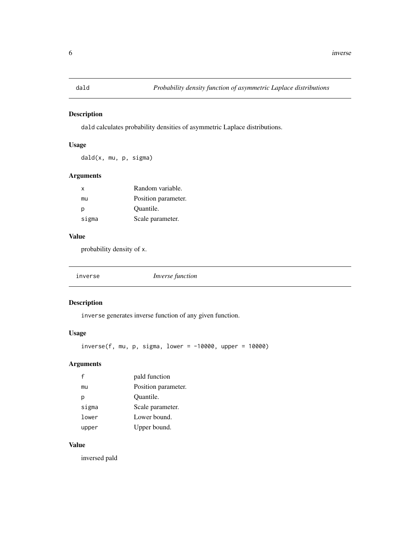<span id="page-5-0"></span>

dald calculates probability densities of asymmetric Laplace distributions.

#### Usage

dald(x, mu, p, sigma)

#### Arguments

| X     | Random variable.    |
|-------|---------------------|
| mu    | Position parameter. |
| р     | Quantile.           |
| sigma | Scale parameter.    |

### Value

probability density of x.

inverse *Inverse function*

#### Description

inverse generates inverse function of any given function.

#### Usage

 $inverse(f, mu, p, sigma, lower = -10000, upper = 10000)$ 

#### Arguments

| f     | pald function       |
|-------|---------------------|
| mu    | Position parameter. |
| р     | Quantile.           |
| sigma | Scale parameter.    |
| lower | Lower bound.        |
| upper | Upper bound.        |

#### Value

inversed pald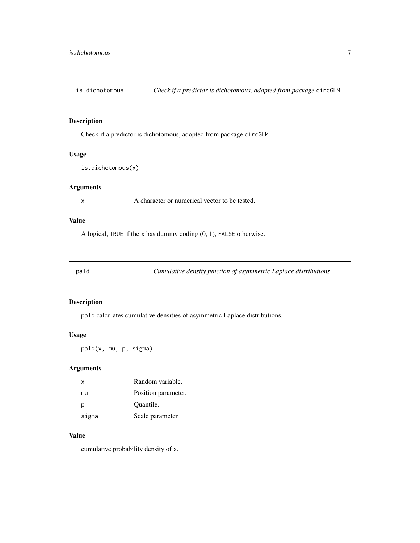<span id="page-6-0"></span>

Check if a predictor is dichotomous, adopted from package circGLM

#### Usage

```
is.dichotomous(x)
```
#### Arguments

x A character or numerical vector to be tested.

#### Value

A logical, TRUE if the x has dummy coding (0, 1), FALSE otherwise.

pald *Cumulative density function of asymmetric Laplace distributions*

#### Description

pald calculates cumulative densities of asymmetric Laplace distributions.

#### Usage

pald(x, mu, p, sigma)

#### Arguments

| x     | Random variable.    |
|-------|---------------------|
| mu    | Position parameter. |
| р     | Quantile.           |
| sigma | Scale parameter.    |

#### Value

cumulative probability density of x.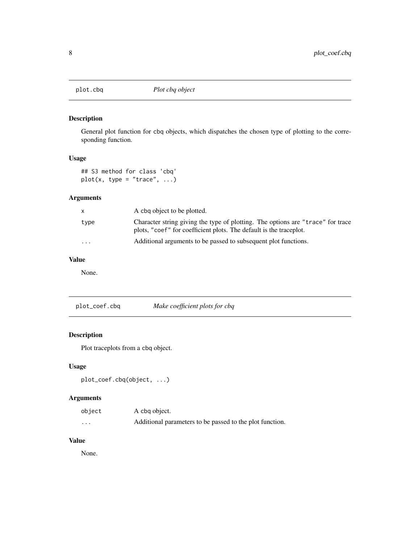<span id="page-7-1"></span><span id="page-7-0"></span>

General plot function for cbq objects, which dispatches the chosen type of plotting to the corresponding function.

# Usage

## S3 method for class 'cbq'  $plot(x, type = "trace", ...)$ 

#### Arguments

|                         | A cbq object to be plotted.                                                                                                                           |
|-------------------------|-------------------------------------------------------------------------------------------------------------------------------------------------------|
| type                    | Character string giving the type of plotting. The options are "trace" for trace<br>plots, "coef" for coefficient plots. The default is the traceplot. |
| $\cdot$ $\cdot$ $\cdot$ | Additional arguments to be passed to subsequent plot functions.                                                                                       |

#### Value

None.

plot\_coef.cbq *Make coefficient plots for cbq*

#### Description

Plot traceplots from a cbq object.

# Usage

```
plot_coef.cbq(object, ...)
```
#### Arguments

| object | A cbq object.                                            |
|--------|----------------------------------------------------------|
| .      | Additional parameters to be passed to the plot function. |

#### Value

None.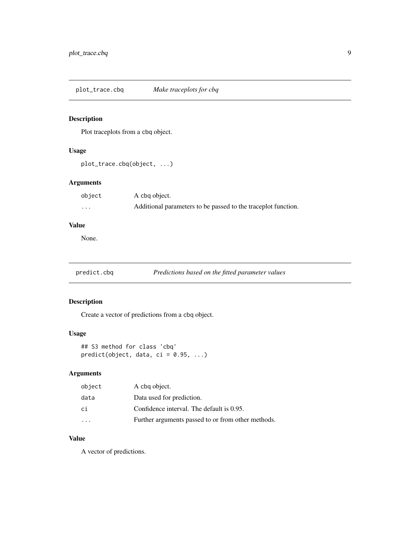<span id="page-8-0"></span>plot\_trace.cbq *Make traceplots for cbq*

#### Description

Plot traceplots from a cbq object.

# Usage

plot\_trace.cbq(object, ...)

# Arguments

| object | A cbg object.                                                 |
|--------|---------------------------------------------------------------|
| .      | Additional parameters to be passed to the traceplot function. |

#### Value

None.

# predict.cbq *Predictions based on the fitted parameter values*

# Description

Create a vector of predictions from a cbq object.

#### Usage

## S3 method for class 'cbq'  $predict(object, data, ci = 0.95, ...)$ 

# Arguments

| object                  | A cbg object.                                      |
|-------------------------|----------------------------------------------------|
| data                    | Data used for prediction.                          |
| сi                      | Confidence interval. The default is 0.95.          |
| $\cdot$ $\cdot$ $\cdot$ | Further arguments passed to or from other methods. |

# Value

A vector of predictions.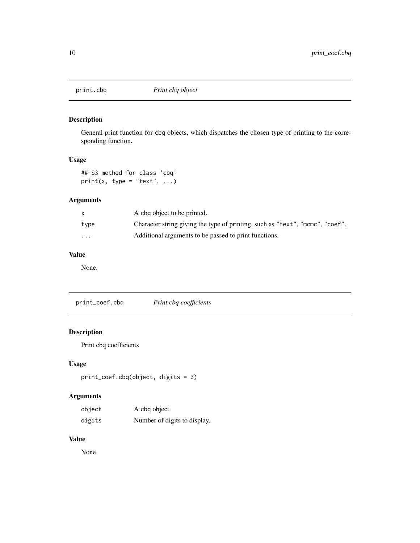<span id="page-9-1"></span><span id="page-9-0"></span>

General print function for cbq objects, which dispatches the chosen type of printing to the corresponding function.

#### Usage

```
## S3 method for class 'cbq'
print(x, type = "text", ...)
```
# Arguments

|                         | A cbg object to be printed.                                                   |
|-------------------------|-------------------------------------------------------------------------------|
| type                    | Character string giving the type of printing, such as "text", "mcmc", "coef". |
| $\cdot$ $\cdot$ $\cdot$ | Additional arguments to be passed to print functions.                         |

# Value

None.

print\_coef.cbq *Print cbq coefficients*

# Description

Print cbq coefficients

#### Usage

```
print_coef.cbq(object, digits = 3)
```
# Arguments

| object | A cbq object.                |
|--------|------------------------------|
| digits | Number of digits to display. |

#### Value

None.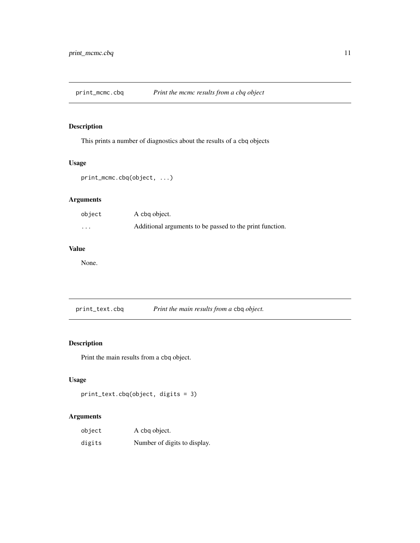<span id="page-10-0"></span>print\_mcmc.cbq *Print the mcmc results from a cbq object*

#### Description

This prints a number of diagnostics about the results of a cbq objects

#### Usage

```
print_mcmc.cbq(object, ...)
```
# Arguments

| object            | A cbg object.                                            |
|-------------------|----------------------------------------------------------|
| $\cdot\cdot\cdot$ | Additional arguments to be passed to the print function. |

# Value

None.

print\_text.cbq *Print the main results from a* cbq *object.*

## Description

Print the main results from a cbq object.

# Usage

```
print_text.cbq(object, digits = 3)
```
#### Arguments

| object | A cbq object.                |
|--------|------------------------------|
| digits | Number of digits to display. |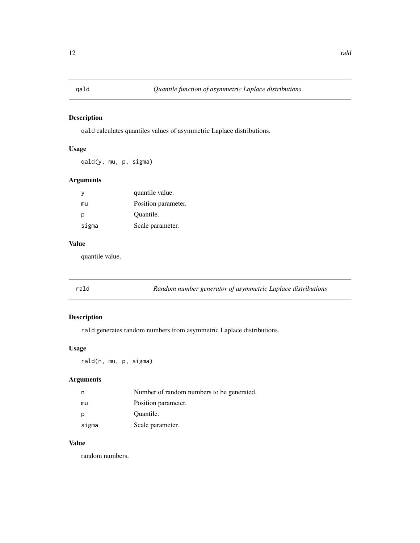<span id="page-11-0"></span>qald calculates quantiles values of asymmetric Laplace distributions.

#### Usage

qald(y, mu, p, sigma)

#### Arguments

| у     | quantile value.     |
|-------|---------------------|
| mu    | Position parameter. |
| р     | Quantile.           |
| sigma | Scale parameter.    |

#### Value

quantile value.

rald *Random number generator of asymmetric Laplace distributions*

# Description

rald generates random numbers from asymmetric Laplace distributions.

### Usage

rald(n, mu, p, sigma)

#### Arguments

| n     | Number of random numbers to be generated. |
|-------|-------------------------------------------|
| mu    | Position parameter.                       |
|       | Quantile.                                 |
| sigma | Scale parameter.                          |

#### Value

random numbers.